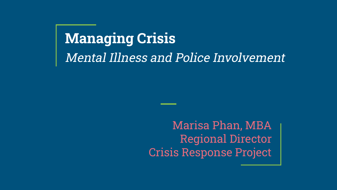# **Managing Crisis** Mental Illness and Police Involvement

Marisa Phan, MBA Regional Director Crisis Response Project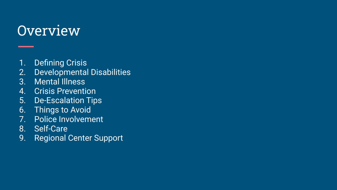#### **Overview**

- 1. Defining Crisis
- 2. Developmental Disabilities
- 3. Mental Illness
- 4. Crisis Prevention
- 5. De-Escalation Tips
- 6. Things to Avoid
- 7. Police Involvement
- 8. Self-Care
- 9. Regional Center Support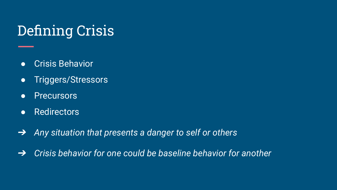# Defining Crisis

- Crisis Behavior
- Triggers/Stressors
- Precursors
- Redirectors
- $\rightarrow$ *Any situation that presents a danger to self or others*
- $\rightarrow$ *Crisis behavior for one could be baseline behavior for another*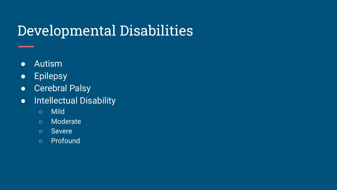# Developmental Disabilities

- Autism
- **•** Epilepsy
- Cerebral Palsy
- Intellectual Disability
	- Mild
	- Moderate
	- Severe
	- Profound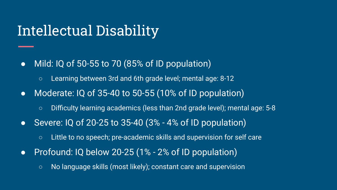### Intellectual Disability

- Mild: IQ of 50-55 to 70 (85% of ID population)
	- Learning between 3rd and 6th grade level; mental age: 8-12
- Moderate: IQ of 35-40 to 50-55 (10% of ID population)
	- Difficulty learning academics (less than 2nd grade level); mental age: 5-8
- Severe: IQ of 20-25 to 35-40 (3% 4% of ID population)
	- Little to no speech; pre-academic skills and supervision for self care
- Profound: IQ below 20-25 (1% 2% of ID population)
	- No language skills (most likely); constant care and supervision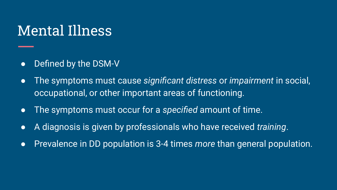#### Mental Illness

- Defined by the DSM-V
- The symptoms must cause *significant distress* or *impairment* in social, occupational, or other important areas of functioning.
- The symptoms must occur for a *specified* amount of time.
- A diagnosis is given by professionals who have received *training*.
- Prevalence in DD population is 3-4 times *more* than general population.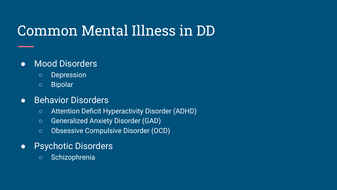# Common Mental Illness in DD

#### ● Mood Disorders

- Depression
- Bipolar

#### **•** Behavior Disorders

- Attention Deficit Hyperactivity Disorder (ADHD)
- Generalized Anxiety Disorder (GAD)
- Obsessive Compulsive Disorder (OCD)
- Psychotic Disorders
	- Schizophrenia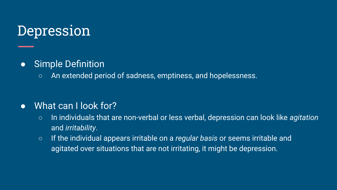#### Depression

#### ● Simple Definition

○ An extended period of sadness, emptiness, and hopelessness.

#### ● What can I look for?

- In individuals that are non-verbal or less verbal, depression can look like *agitation*  and *irritability*.
- If the individual appears irritable on a *regular basis* or seems irritable and agitated over situations that are not irritating, it might be depression.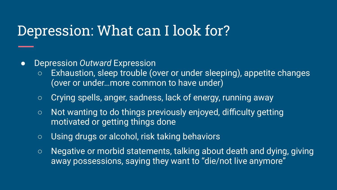#### Depression: What can I look for?

- Depression *Outward* Expression
	- Exhaustion, sleep trouble (over or under sleeping), appetite changes (over or under…more common to have under)
	- Crying spells, anger, sadness, lack of energy, running away
	- Not wanting to do things previously enjoyed, difficulty getting motivated or getting things done
	- Using drugs or alcohol, risk taking behaviors
	- Negative or morbid statements, talking about death and dying, giving away possessions, saying they want to "die/not live anymore"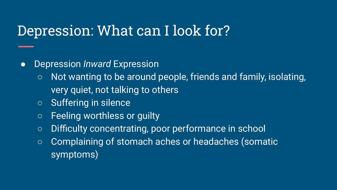#### Depression: What can I look for?

#### ● Depression *Inward* Expression

- Not wanting to be around people, friends and family, isolating, very quiet, not talking to others
- Suffering in silence
- Feeling worthless or guilty
- Difficulty concentrating, poor performance in school
- Complaining of stomach aches or headaches (somatic symptoms)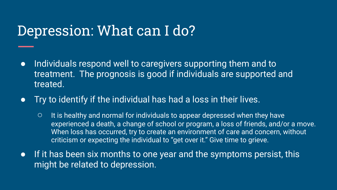#### Depression: What can I do?

- Individuals respond well to caregivers supporting them and to treatment. The prognosis is good if individuals are supported and treated.
- Try to identify if the individual has had a loss in their lives.
	- It is healthy and normal for individuals to appear depressed when they have experienced a death, a change of school or program, a loss of friends, and/or a move. When loss has occurred, try to create an environment of care and concern, without criticism or expecting the individual to "get over it." Give time to grieve.
- If it has been six months to one year and the symptoms persist, this might be related to depression.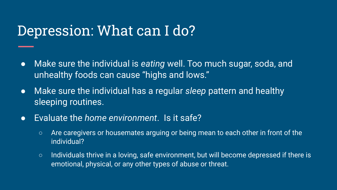#### Depression: What can I do?

- Make sure the individual is *eating* well. Too much sugar, soda, and unhealthy foods can cause "highs and lows."
- Make sure the individual has a regular *sleep* pattern and healthy sleeping routines.
- Evaluate the *home environment*. Is it safe?
	- Are caregivers or housemates arguing or being mean to each other in front of the individual?
	- Individuals thrive in a loving, safe environment, but will become depressed if there is emotional, physical, or any other types of abuse or threat.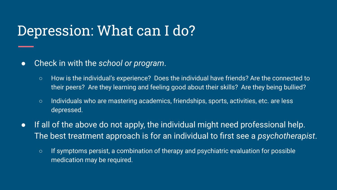#### Depression: What can I do?

- Check in with the *school or program*.
	- How is the individual's experience? Does the individual have friends? Are the connected to their peers? Are they learning and feeling good about their skills? Are they being bullied?
	- Individuals who are mastering academics, friendships, sports, activities, etc. are less depressed.
- If all of the above do not apply, the individual might need professional help. The best treatment approach is for an individual to first see a *psychotherapist*.
	- If symptoms persist, a combination of therapy and psychiatric evaluation for possible medication may be required.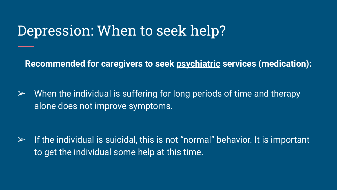#### Depression: When to seek help?

**Recommended for caregivers to seek psychiatric services (medication):**

 $\triangleright$  When the individual is suffering for long periods of time and therapy alone does not improve symptoms.

 $\triangleright$  If the individual is suicidal, this is not "normal" behavior. It is important to get the individual some help at this time.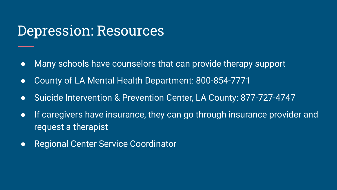#### Depression: Resources

- Many schools have counselors that can provide therapy support
- County of LA Mental Health Department: 800-854-7771
- Suicide Intervention & Prevention Center, LA County: 877-727-4747
- If caregivers have insurance, they can go through insurance provider and request a therapist
- Regional Center Service Coordinator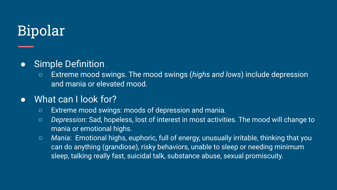# Bipolar

#### ● Simple Definition

○ Extreme mood swings. The mood swings (*highs and lows*) include depression and mania or elevated mood.

#### ● What can I look for?

- Extreme mood swings: moods of depression and mania.
- *Depression*: Sad, hopeless, lost of interest in most activities. The mood will change to mania or emotional highs.
- *Mania*: Emotional highs, euphoric, full of energy, unusually irritable, thinking that you can do anything (grandiose), risky behaviors, unable to sleep or needing minimum sleep, talking really fast, suicidal talk, substance abuse, sexual promiscuity.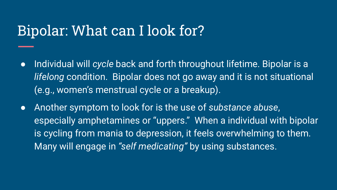#### Bipolar: What can I look for?

- Individual will *cycle* back and forth throughout lifetime. Bipolar is a *lifelong* condition. Bipolar does not go away and it is not situational (e.g., women's menstrual cycle or a breakup).
- Another symptom to look for is the use of *substance abuse*, especially amphetamines or "uppers." When a individual with bipolar is cycling from mania to depression, it feels overwhelming to them. Many will engage in *"self medicating"* by using substances.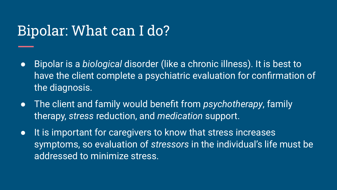### Bipolar: What can I do?

- Bipolar is a *biological* disorder (like a chronic illness). It is best to have the client complete a psychiatric evaluation for confirmation of the diagnosis.
- The client and family would benefit from *psychotherapy*, family therapy, *stress* reduction, and *medication* support.
- It is important for caregivers to know that stress increases symptoms, so evaluation of *stressors* in the individual's life must be addressed to minimize stress.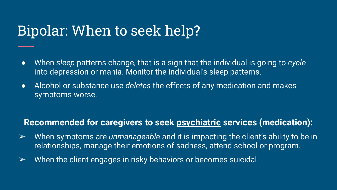# Bipolar: When to seek help?

- When *sleep* patterns change, that is a sign that the individual is going to *cycle*  into depression or mania. Monitor the individual's sleep patterns.
- Alcohol or substance use *deletes* the effects of any medication and makes symptoms worse.

#### **Recommended for caregivers to seek psychiatric services (medication):**

- ➢ When symptoms are *unmanageable* and it is impacting the client's ability to be in relationships, manage their emotions of sadness, attend school or program.
- $\triangleright$  When the client engages in risky behaviors or becomes suicidal.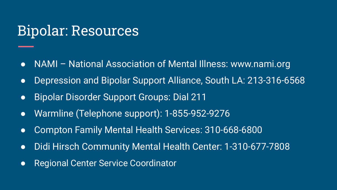#### Bipolar: Resources

- NAMI National Association of Mental Illness: www.nami.org
- Depression and Bipolar Support Alliance, South LA: 213-316-6568
- Bipolar Disorder Support Groups: Dial 211
- Warmline (Telephone support): 1-855-952-9276
- Compton Family Mental Health Services: 310-668-6800
- Didi Hirsch Community Mental Health Center: 1-310-677-7808
- Regional Center Service Coordinator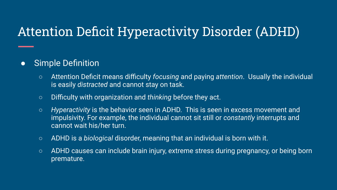#### Attention Deficit Hyperactivity Disorder (ADHD)

#### ● Simple Definition

- Attention Deficit means difficulty *focusing* and paying *attention*. Usually the individual is easily *distracted* and cannot stay on task.
- Difficulty with organization and *thinking* before they act.
- *Hyperactivity* is the behavior seen in ADHD. This is seen in excess movement and impulsivity. For example, the individual cannot sit still or *constantly* interrupts and cannot wait his/her turn.
- ADHD is a *biological* disorder, meaning that an individual is born with it.
- ADHD causes can include brain injury, extreme stress during pregnancy, or being born premature.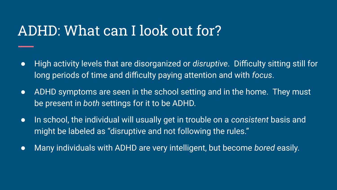#### ADHD: What can I look out for?

- High activity levels that are disorganized or *disruptive*. Difficulty sitting still for long periods of time and difficulty paying attention and with *focus*.
- ADHD symptoms are seen in the school setting and in the home. They must be present in *both* settings for it to be ADHD.
- In school, the individual will usually get in trouble on a *consistent* basis and might be labeled as "disruptive and not following the rules."
- Many individuals with ADHD are very intelligent, but become *bored* easily.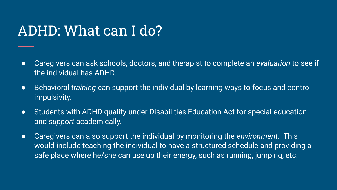## ADHD: What can I do?

- Caregivers can ask schools, doctors, and therapist to complete an *evaluation* to see if the individual has ADHD.
- Behavioral *training* can support the individual by learning ways to focus and control impulsivity.
- Students with ADHD qualify under Disabilities Education Act for special education and *support* academically.
- Caregivers can also support the individual by monitoring the *environment*. This would include teaching the individual to have a structured schedule and providing a safe place where he/she can use up their energy, such as running, jumping, etc.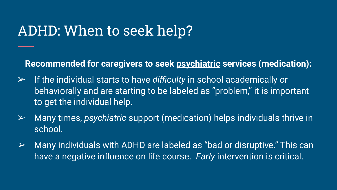### ADHD: When to seek help?

**Recommended for caregivers to seek psychiatric services (medication):**

- ➢ If the individual starts to have *difficulty* in school academically or behaviorally and are starting to be labeled as "problem," it is important to get the individual help.
- ➢ Many times, *psychiatric* support (medication) helps individuals thrive in school.
- $\triangleright$  Many individuals with ADHD are labeled as "bad or disruptive." This can have a negative influence on life course. *Early* intervention is critical.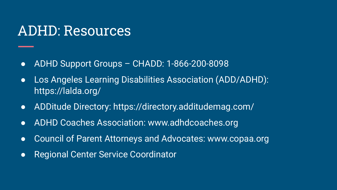#### ADHD: Resources

- ADHD Support Groups CHADD: 1-866-200-8098
- Los Angeles Learning Disabilities Association (ADD/ADHD): https://lalda.org/
- ADDitude Directory: https://directory.additudemag.com/
- ADHD Coaches Association: www.adhdcoaches.org
- Council of Parent Attorneys and Advocates: www.copaa.org
- Regional Center Service Coordinator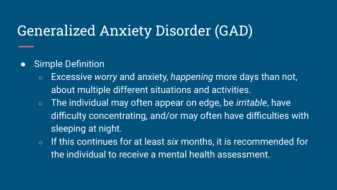# Generalized Anxiety Disorder (GAD)

#### ● Simple Definition

- Excessive *worry* and anxiety, *happening* more days than not, about multiple different situations and activities.
- The individual may often appear on edge, be *irritable*, have difficulty concentrating, and/or may often have difficulties with sleeping at night.
- If this continues for at least *six* months, it is recommended for the individual to receive a mental health assessment.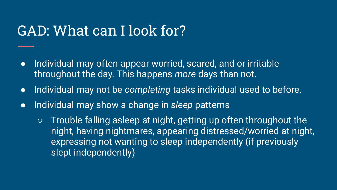### GAD: What can I look for?

- Individual may often appear worried, scared, and or irritable throughout the day. This happens *more* days than not.
- Individual may not be *completing* tasks individual used to before.
- Individual may show a change in *sleep* patterns
	- $\circ$  Trouble falling asleep at night, getting up often throughout the night, having nightmares, appearing distressed/worried at night, expressing not wanting to sleep independently (if previously slept independently)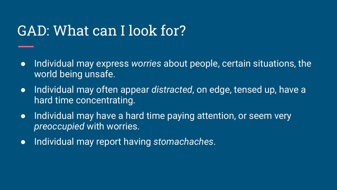### GAD: What can I look for?

- Individual may express *worries* about people, certain situations, the world being unsafe.
- Individual may often appear *distracted*, on edge, tensed up, have a hard time concentrating.
- Individual may have a hard time paying attention, or seem very *preoccupied* with worries.
- Individual may report having *stomachaches*.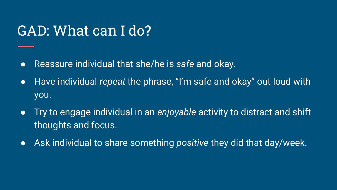## GAD: What can I do?

- Reassure individual that she/he is *safe* and okay.
- Have individual *repeat* the phrase, "I'm safe and okay" out loud with you.
- Try to engage individual in an *enjoyable* activity to distract and shift thoughts and focus.
- Ask individual to share something *positive* they did that day/week.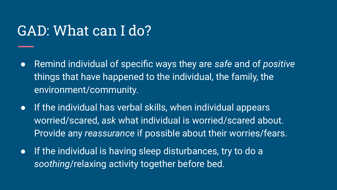#### GAD: What can I do?

- Remind individual of specific ways they are *safe* and of *positive*  things that have happened to the individual, the family, the environment/community.
- If the individual has verbal skills, when individual appears worried/scared, *ask* what individual is worried/scared about. Provide any *reassurance* if possible about their worries/fears.
- If the individual is having sleep disturbances, try to do a *soothing*/relaxing activity together before bed.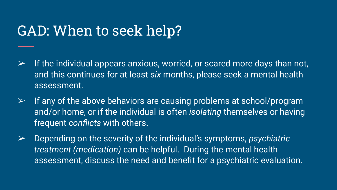### GAD: When to seek help?

- $\triangleright$  If the individual appears anxious, worried, or scared more days than not, and this continues for at least *six* months, please seek a mental health assessment.
- $\triangleright$  If any of the above behaviors are causing problems at school/program and/or home, or if the individual is often *isolating* themselves or having frequent *conflicts* with others.
- ➢ Depending on the severity of the individual's symptoms, *psychiatric treatment (medication)* can be helpful. During the mental health assessment, discuss the need and benefit for a psychiatric evaluation.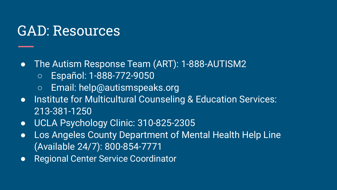#### GAD: Resources

#### ● The Autism Response Team (ART): 1-888-AUTISM2

- Español: 1-888-772-9050
- Email: help@autismspeaks.org
- Institute for Multicultural Counseling & Education Services: 213-381-1250
- UCLA Psychology Clinic: 310-825-2305
- Los Angeles County Department of Mental Health Help Line (Available 24/7): 800-854-7771
- Regional Center Service Coordinator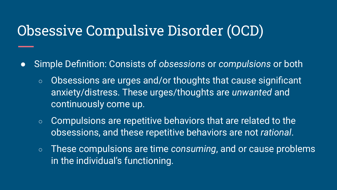### Obsessive Compulsive Disorder (OCD)

- Simple Definition: Consists of *obsessions* or *compulsions* or both
	- o Obsessions are urges and/or thoughts that cause significant anxiety/distress. These urges/thoughts are *unwanted* and continuously come up.
	- Compulsions are repetitive behaviors that are related to the obsessions, and these repetitive behaviors are not *rational*.
	- These compulsions are time *consuming*, and or cause problems in the individual's functioning.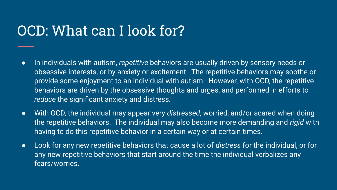# OCD: What can I look for?

- In individuals with autism, *repetitive* behaviors are usually driven by sensory needs or obsessive interests, or by anxiety or excitement. The repetitive behaviors may soothe or provide some enjoyment to an individual with autism. However, with OCD, the repetitive behaviors are driven by the obsessive thoughts and urges, and performed in efforts to *reduce* the significant anxiety and distress.
- With OCD, the individual may appear very *distressed*, worried, and/or scared when doing the repetitive behaviors. The individual may also become more demanding and *rigid* with having to do this repetitive behavior in a certain way or at certain times.
- Look for any new repetitive behaviors that cause a lot of *distress* for the individual, or for any new repetitive behaviors that start around the time the individual verbalizes any fears/worries.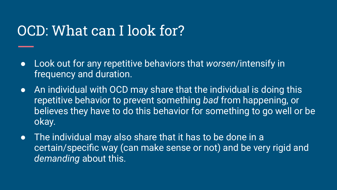## OCD: What can I look for?

- Look out for any repetitive behaviors that *worsen*/intensify in frequency and duration.
- An individual with OCD may share that the individual is doing this repetitive behavior to prevent something *bad* from happening, or believes they have to do this behavior for something to go well or be okay.
- The individual may also share that it has to be done in a certain/specific way (can make sense or not) and be very rigid and *demanding* about this.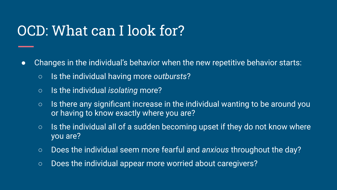# OCD: What can I look for?

- Changes in the individual's behavior when the new repetitive behavior starts:
	- Is the individual having more *outbursts*?
	- Is the individual *isolating* more?
	- $\circ$  Is there any significant increase in the individual wanting to be around you or having to know exactly where you are?
	- $\circ$  Is the individual all of a sudden becoming upset if they do not know where you are?
	- Does the individual seem more fearful and *anxious* throughout the day?
	- Does the individual appear more worried about caregivers?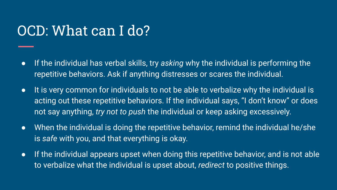# OCD: What can I do?

- If the individual has verbal skills, try *asking* why the individual is performing the repetitive behaviors. Ask if anything distresses or scares the individual.
- It is very common for individuals to not be able to verbalize why the individual is acting out these repetitive behaviors. If the individual says, "I don't know" or does not say anything, *try not to push* the individual or keep asking excessively.
- When the individual is doing the repetitive behavior, remind the individual he/she is *safe* with you, and that everything is okay.
- **•** If the individual appears upset when doing this repetitive behavior, and is not able to verbalize what the individual is upset about, *redirect* to positive things.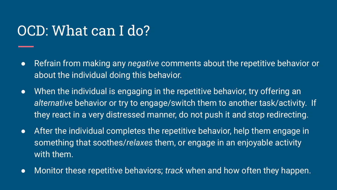### OCD: What can I do?

- Refrain from making any *negative* comments about the repetitive behavior or about the individual doing this behavior.
- When the individual is engaging in the repetitive behavior, try offering an *alternative* behavior or try to engage/switch them to another task/activity. If they react in a very distressed manner, do not push it and stop redirecting.
- After the individual completes the repetitive behavior, help them engage in something that soothes/*relaxes* them, or engage in an enjoyable activity with them.
- Monitor these repetitive behaviors; *track* when and how often they happen.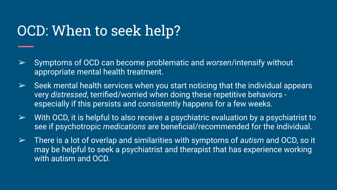### OCD: When to seek help?

- ➢ Symptoms of OCD can become problematic and *worsen*/intensify without appropriate mental health treatment.
- $\triangleright$  Seek mental health services when you start noticing that the individual appears very *distressed*, terrified/worried when doing these repetitive behaviors especially if this persists and consistently happens for a few weeks.
- $\triangleright$  With OCD, it is helpful to also receive a psychiatric evaluation by a psychiatrist to see if psychotropic *medications* are beneficial/recommended for the individual.
- ➢ There is a lot of overlap and similarities with symptoms of *autism* and OCD, so it may be helpful to seek a psychiatrist and therapist that has experience working with autism and OCD.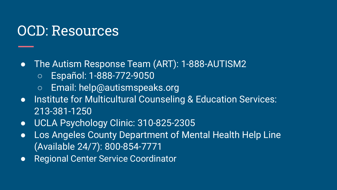#### OCD: Resources

#### ● The Autism Response Team (ART): 1-888-AUTISM2

- Español: 1-888-772-9050
- Email: help@autismspeaks.org
- Institute for Multicultural Counseling & Education Services: 213-381-1250
- UCLA Psychology Clinic: 310-825-2305
- Los Angeles County Department of Mental Health Help Line (Available 24/7): 800-854-7771
- Regional Center Service Coordinator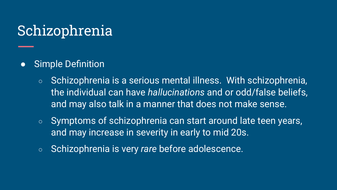# Schizophrenia

- Simple Definition
	- Schizophrenia is a serious mental illness. With schizophrenia, the individual can have *hallucinations* and or odd/false beliefs, and may also talk in a manner that does not make sense.
	- Symptoms of schizophrenia can start around late teen years, and may increase in severity in early to mid 20s.
	- Schizophrenia is very *rare* before adolescence.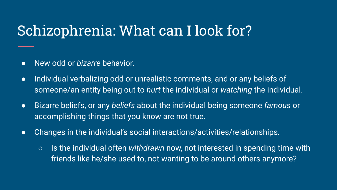# Schizophrenia: What can I look for?

- New odd or *bizarre* behavior.
- Individual verbalizing odd or unrealistic comments, and or any beliefs of someone/an entity being out to *hurt* the individual or *watching* the individual.
- Bizarre beliefs, or any *beliefs* about the individual being someone *famous* or accomplishing things that you know are not true.
- Changes in the individual's social interactions/activities/relationships.
	- Is the individual often *withdrawn* now, not interested in spending time with friends like he/she used to, not wanting to be around others anymore?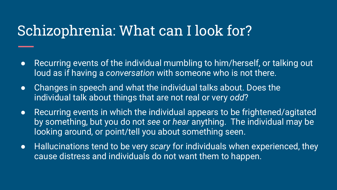### Schizophrenia: What can I look for?

- Recurring events of the individual mumbling to him/herself, or talking out loud as if having a *conversation* with someone who is not there.
- Changes in speech and what the individual talks about. Does the individual talk about things that are not real or very *odd*?
- Recurring events in which the individual appears to be frightened/agitated by something, but you do not *see* or *hear* anything. The individual may be looking around, or point/tell you about something seen.
- Hallucinations tend to be very *scary* for individuals when experienced, they cause distress and individuals do not want them to happen.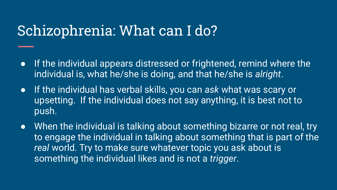#### Schizophrenia: What can I do?

- If the individual appears distressed or frightened, remind where the individual is, what he/she is doing, and that he/she is *alright*.
- If the individual has verbal skills, you can *ask* what was scary or upsetting. If the individual does not say anything, it is best not to push.
- When the individual is talking about something bizarre or not real, try to engage the individual in talking about something that is part of the *real* world. Try to make sure whatever topic you ask about is something the individual likes and is not a *trigger*.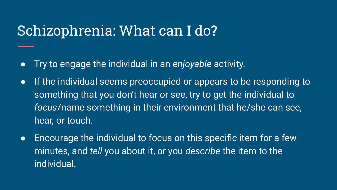#### Schizophrenia: What can I do?

- Try to engage the individual in an *enjoyable* activity.
- If the individual seems preoccupied or appears to be responding to something that you don't hear or see, try to get the individual to *focus*/name something in their environment that he/she can see, hear, or touch.
- Encourage the individual to focus on this specific item for a few minutes, and *tell* you about it, or you *describe* the item to the individual.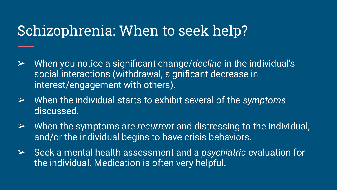### Schizophrenia: When to seek help?

- ➢ When you notice a significant change/*decline* in the individual's social interactions (withdrawal, significant decrease in interest/engagement with others).
- ➢ When the individual starts to exhibit several of the *symptoms*  discussed.
- ➢ When the symptoms are *recurrent* and distressing to the individual, and/or the individual begins to have crisis behaviors.
- ➢ Seek a mental health assessment and a *psychiatric* evaluation for the individual. Medication is often very helpful.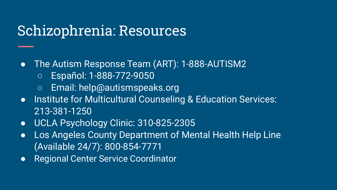#### Schizophrenia: Resources

- The Autism Response Team (ART): 1-888-AUTISM2
	- Español: 1-888-772-9050
	- Email: help@autismspeaks.org
- Institute for Multicultural Counseling & Education Services: 213-381-1250
- UCLA Psychology Clinic: 310-825-2305
- Los Angeles County Department of Mental Health Help Line (Available 24/7): 800-854-7771
- Regional Center Service Coordinator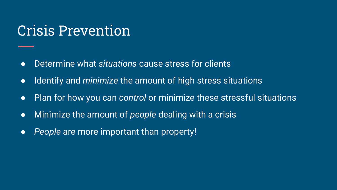#### Crisis Prevention

- Determine what *situations* cause stress for clients
- Identify and *minimize* the amount of high stress situations
- Plan for how you can *control* or minimize these stressful situations
- Minimize the amount of *people* dealing with a crisis
- *People* are more important than property!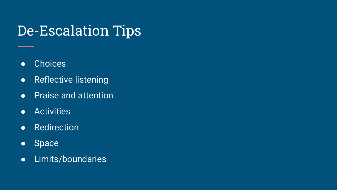# De-Escalation Tips

- Choices
- Reflective listening
- Praise and attention
- Activities
- Redirection
- Space
- Limits/boundaries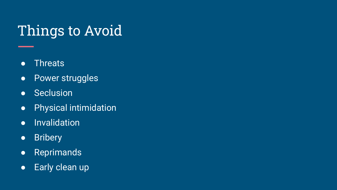# Things to Avoid

- **•** Threats
- Power struggles
- Seclusion
- Physical intimidation
- Invalidation
- Bribery
- Reprimands
- **•** Early clean up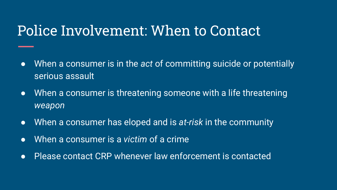#### Police Involvement: When to Contact

- When a consumer is in the *act* of committing suicide or potentially serious assault
- When a consumer is threatening someone with a life threatening *weapon*
- When a consumer has eloped and is *at-risk* in the community
- When a consumer is a *victim* of a crime
- Please contact CRP whenever law enforcement is contacted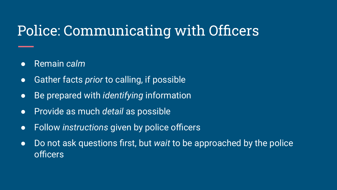# Police: Communicating with Officers

- Remain *calm*
- Gather facts *prior* to calling, if possible
- Be prepared with *identifying* information
- Provide as much *detail* as possible
- Follow *instructions* given by police officers
- Do not ask questions first, but *wait* to be approached by the police officers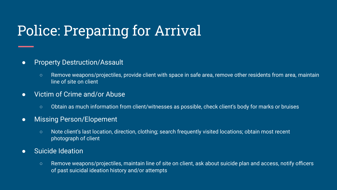# Police: Preparing for Arrival

#### ● Property Destruction/Assault

○ Remove weapons/projectiles, provide client with space in safe area, remove other residents from area, maintain line of site on client

#### **Victim of Crime and/or Abuse**

○ Obtain as much information from client/witnesses as possible, check client's body for marks or bruises

#### • Missing Person/Elopement

- Note client's last location, direction, clothing; search frequently visited locations; obtain most recent photograph of client
- Suicide Ideation
	- Remove weapons/projectiles, maintain line of site on client, ask about suicide plan and access, notify officers of past suicidal ideation history and/or attempts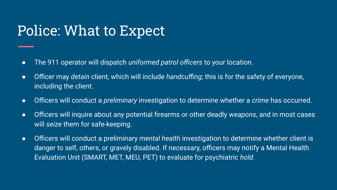# Police: What to Expect

- The 911 operator will dispatch *uniformed patrol officers* to your location.
- Officer may *detain* client, which will include *handcuffing*; this is for the safety of everyone, including the client.
- Officers will conduct a *preliminary* investigation to determine whether a *crime* has occurred.
- Officers will inquire about any potential firearms or other deadly *weapons*, and in most cases will *seize* them for safe-keeping.
- Officers will conduct a preliminary *mental health* investigation to determine whether client is danger to self, others, or gravely disabled. If necessary, officers may notify a Mental Health Evaluation Unit (SMART, MET, MEU, PET) to evaluate for psychiatric *hold.*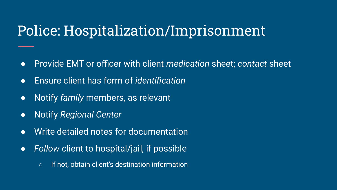### Police: Hospitalization/Imprisonment

- Provide EMT or officer with client *medication* sheet; *contact* sheet
- Ensure client has form of *identification*
- Notify *family* members, as relevant
- Notify *Regional Center*
- *●* Write detailed notes for documentation
- *Follow* client to hospital/jail, if possible
	- If not, obtain client's destination information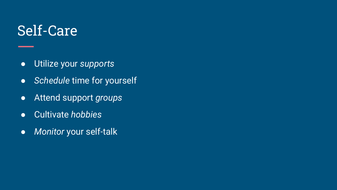#### Self-Care

- Utilize your *supports*
- *Schedule* time for yourself
- Attend support *groups*
- Cultivate *hobbies*
- *Monitor* your self-talk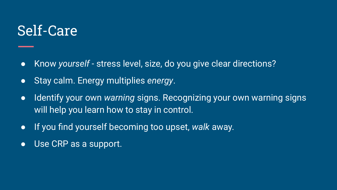#### Self-Care

- Know *yourself*  stress level, size, do you give clear directions?
- Stay calm. Energy multiplies *energy*.
- Identify your own *warning* signs. Recognizing your own warning signs will help you learn how to stay in control.
- If you find yourself becoming too upset, *walk* away.
- Use CRP as a support.